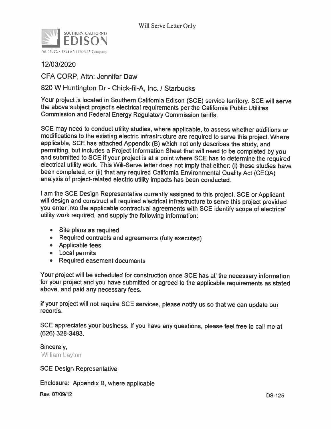

12/03/2020

CFA CORP, Attn: Jennifer Daw

820 W Huntington Dr - Chick-fil-A, Inc. / Starbucks

Your project is located in Southern California Edison (SCE) service territory. SCE will serve the above subject project's electrical requirements per the California Public Utilities Commission and Federal Energy Regulatory Commission tariffs.

SCE may need to conduct utility studies, where applicable, to assess whether additions or modifications to the existing electric infrastructure are required to serve this project. Where applicable, SCE has attached Appendix (B) which not only describes the study, and permitting, but includes a Project Information Sheet that will need to be completed by you and submitted to SCE if your project is at a point where SCE has to determine the required electrical utility work. This Will-Serve letter does not imply that either: (i) these studies have been completed, or (ii) that any required California Environmental Quality Act (CEQA) analysis of project-related electric utility impacts has been conducted.

I am the SCE Design Representative currently assigned to this project. SCE or Applicant will design and construct all required electrical infrastructure to serve this project provided you enter into the applicable contractual agreements with SCE identify scope of electrical utility work required, and supply the following information:

- Site plans as required
- Required contracts and agreements (fully executed)
- Applicable fees
- Local permits
- Required easement documents

Your project will be scheduled for construction once SCE has all the necessary information for your project and you have submitted or agreed to the applicable requirements as stated above, and paid any necessary fees.

If your project will not require SCE services, please notify us so that we can update our records.

SCE appreciates your business. If you have any questions, please feel free to call me at (626) 328-3493.

Sincerely, William Layton

**SCE Design Representative** 

Enclosure: Appendix B, where applicable

Rev. 07/09/12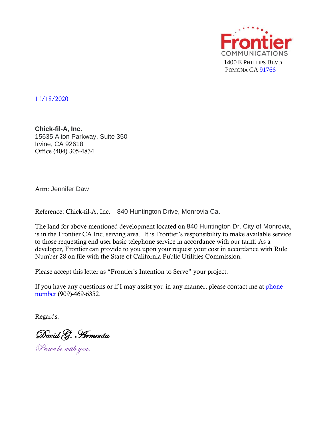

11/18/2020

**Chick-fil-A, Inc.** 15635 Alton Parkway, Suite 350 Irvine, CA 92618 Office (404) 305-4834

Attn: Jennifer Daw

Reference: Chick-fil-A, Inc. – 840 Huntington Drive, Monrovia Ca.

The land for above mentioned development located on 840 Huntington Dr. City of Monrovia, is in the Frontier CA Inc. serving area. It is Frontier's responsibility to make available service to those requesting end user basic telephone service in accordance with our tariff. As a developer, Frontier can provide to you upon your request your cost in accordance with Rule Number 28 on file with the State of California Public Utilities Commission.

Please accept this letter as "Frontier's Intention to Serve" your project.

If you have any questions or if I may assist you in any manner, please contact me at phone number (909)-469-6352.

Regards.

David G. Armenta

Peace be with you.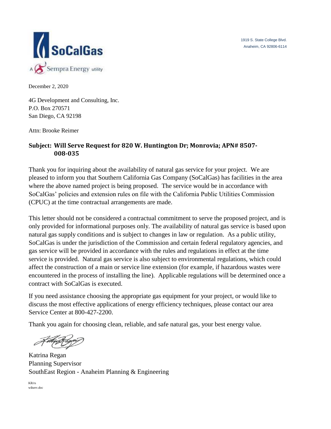1919 S. State College Blvd. Anaheim, CA 92806-6114



December 2, 2020

4G Development and Consulting, Inc. P.O. Box 270571 San Diego, CA 92198

Attn: Brooke Reimer

## **Subject: Will Serve Request for 820 W. Huntington Dr; Monrovia; APN# 8507- 008-035**

Thank you for inquiring about the availability of natural gas service for your project. We are pleased to inform you that Southern California Gas Company (SoCalGas) has facilities in the area where the above named project is being proposed. The service would be in accordance with SoCalGas' policies and extension rules on file with the California Public Utilities Commission (CPUC) at the time contractual arrangements are made.

This letter should not be considered a contractual commitment to serve the proposed project, and is only provided for informational purposes only. The availability of natural gas service is based upon natural gas supply conditions and is subject to changes in law or regulation. As a public utility, SoCalGas is under the jurisdiction of the Commission and certain federal regulatory agencies, and gas service will be provided in accordance with the rules and regulations in effect at the time service is provided. Natural gas service is also subject to environmental regulations, which could affect the construction of a main or service line extension (for example, if hazardous wastes were encountered in the process of installing the line). Applicable regulations will be determined once a contract with SoCalGas is executed.

If you need assistance choosing the appropriate gas equipment for your project, or would like to discuss the most effective applications of energy efficiency techniques, please contact our area Service Center at 800-427-2200.

Thank you again for choosing clean, reliable, and safe natural gas, your best energy value.

Katrina Regan Planning Supervisor SouthEast Region - Anaheim Planning & Engineering

KR/rs wilserv.doc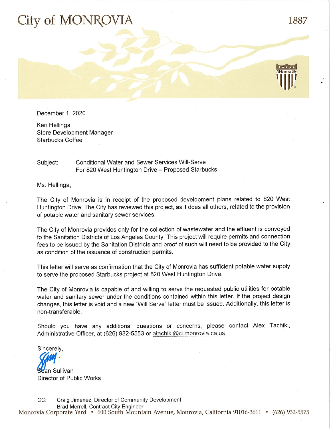## City of MONRO'

1887

December 1, 2020

Keri Hellinga **Store Development Manager Starbucks Coffee** 

## **Conditional Water and Sewer Services Will-Serve** Subject: For 820 West Huntington Drive - Proposed Starbucks

Ms. Hellinga,

The City of Monrovia is in receipt of the proposed development plans related to 820 West Huntington Drive. The City has reviewed this project, as it does all others, related to the provision of potable water and sanitary sewer services.

The City of Monrovia provides only for the collection of wastewater and the effluent is conveyed to the Sanitation Districts of Los Angeles County. This project will require permits and connection fees to be issued by the Sanitation Districts and proof of such will need to be provided to the City as condition of the issuance of construction permits.

This letter will serve as confirmation that the City of Monrovia has sufficient potable water supply to serve the proposed Starbucks project at 820 West Huntington Drive.

The City of Monrovia is capable of and willing to serve the requested public utilities for potable water and sanitary sewer under the conditions contained within this letter. If the project design changes, this letter is void and a new "Will Serve" letter must be issued. Additionally, this letter is non-transferable.

Should you have any additional questions or concerns, please contact Alex Tachiki, Administrative Officer, at (626) 932-5553 or atachiki@ci.monrovia.ca.us

Sincerely,

**Be**an Sullivan Director of Public Works